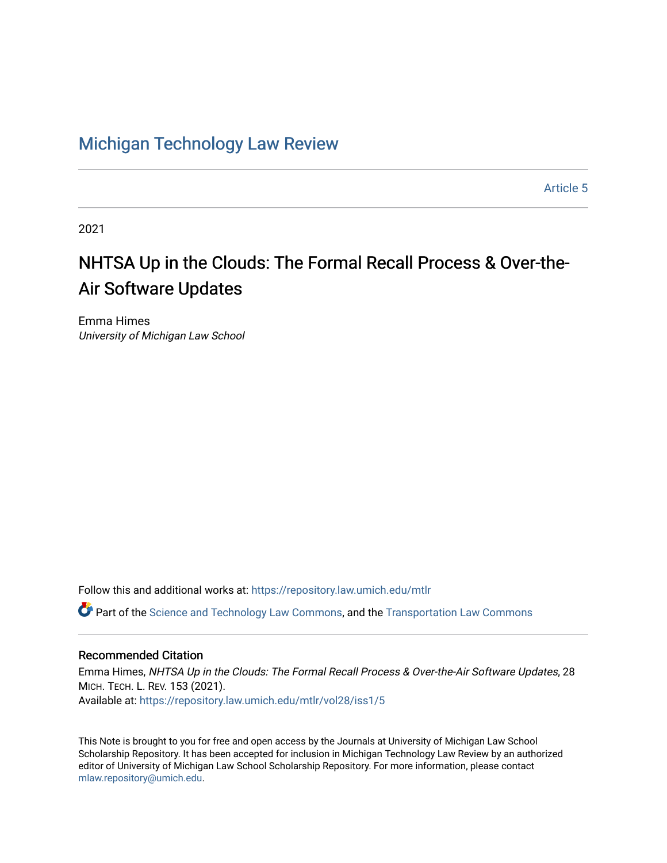## [Michigan Technology Law Review](https://repository.law.umich.edu/mtlr)

[Article 5](https://repository.law.umich.edu/mtlr/vol28/iss1/5) 

2021

# NHTSA Up in the Clouds: The Formal Recall Process & Over-the-Air Software Updates

Emma Himes University of Michigan Law School

Follow this and additional works at: [https://repository.law.umich.edu/mtlr](https://repository.law.umich.edu/mtlr?utm_source=repository.law.umich.edu%2Fmtlr%2Fvol28%2Fiss1%2F5&utm_medium=PDF&utm_campaign=PDFCoverPages) 

Part of the [Science and Technology Law Commons](http://network.bepress.com/hgg/discipline/875?utm_source=repository.law.umich.edu%2Fmtlr%2Fvol28%2Fiss1%2F5&utm_medium=PDF&utm_campaign=PDFCoverPages), and the [Transportation Law Commons](http://network.bepress.com/hgg/discipline/885?utm_source=repository.law.umich.edu%2Fmtlr%2Fvol28%2Fiss1%2F5&utm_medium=PDF&utm_campaign=PDFCoverPages)

### Recommended Citation

Emma Himes, NHTSA Up in the Clouds: The Formal Recall Process & Over-the-Air Software Updates, 28 MICH. TECH. L. REV. 153 (2021). Available at: [https://repository.law.umich.edu/mtlr/vol28/iss1/5](https://repository.law.umich.edu/mtlr/vol28/iss1/5?utm_source=repository.law.umich.edu%2Fmtlr%2Fvol28%2Fiss1%2F5&utm_medium=PDF&utm_campaign=PDFCoverPages) 

This Note is brought to you for free and open access by the Journals at University of Michigan Law School Scholarship Repository. It has been accepted for inclusion in Michigan Technology Law Review by an authorized editor of University of Michigan Law School Scholarship Repository. For more information, please contact [mlaw.repository@umich.edu.](mailto:mlaw.repository@umich.edu)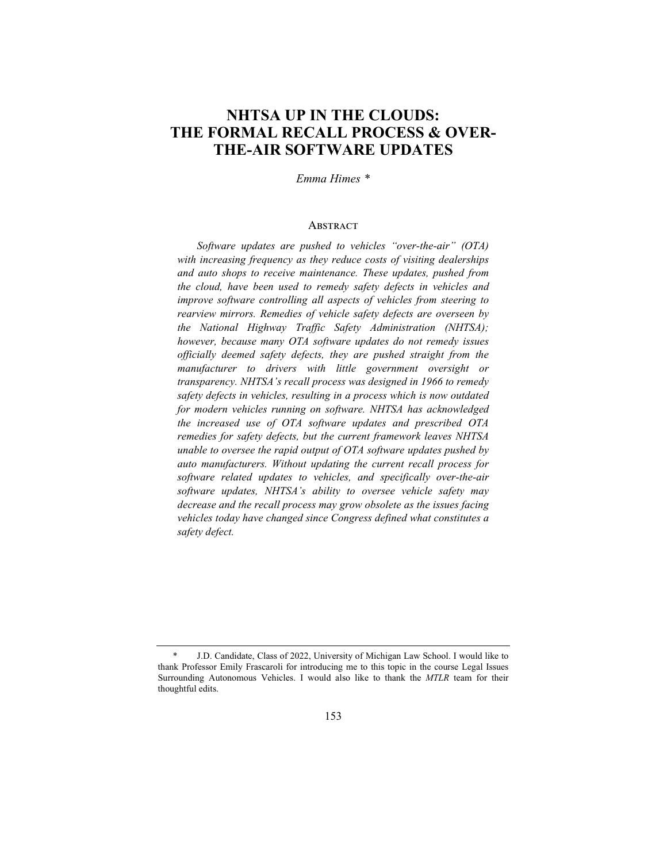## **NHTSA UP IN THE CLOUDS: THE FORMAL RECALL PROCESS & OVER-THE-AIR SOFTWARE UPDATES**

#### *Emma Himes \**

#### **ABSTRACT**

*Software updates are pushed to vehicles "over-the-air" (OTA) with increasing frequency as they reduce costs of visiting dealerships and auto shops to receive maintenance. These updates, pushed from the cloud, have been used to remedy safety defects in vehicles and improve software controlling all aspects of vehicles from steering to rearview mirrors. Remedies of vehicle safety defects are overseen by the National Highway Traffic Safety Administration (NHTSA); however, because many OTA software updates do not remedy issues officially deemed safety defects, they are pushed straight from the manufacturer to drivers with little government oversight or transparency. NHTSA's recall process was designed in 1966 to remedy safety defects in vehicles, resulting in a process which is now outdated for modern vehicles running on software. NHTSA has acknowledged the increased use of OTA software updates and prescribed OTA remedies for safety defects, but the current framework leaves NHTSA unable to oversee the rapid output of OTA software updates pushed by auto manufacturers. Without updating the current recall process for software related updates to vehicles, and specifically over-the-air software updates, NHTSA's ability to oversee vehicle safety may decrease and the recall process may grow obsolete as the issues facing vehicles today have changed since Congress defined what constitutes a safety defect.*

<sup>\*</sup> J.D. Candidate, Class of 2022, University of Michigan Law School. I would like to thank Professor Emily Frascaroli for introducing me to this topic in the course Legal Issues Surrounding Autonomous Vehicles. I would also like to thank the *MTLR* team for their thoughtful edits.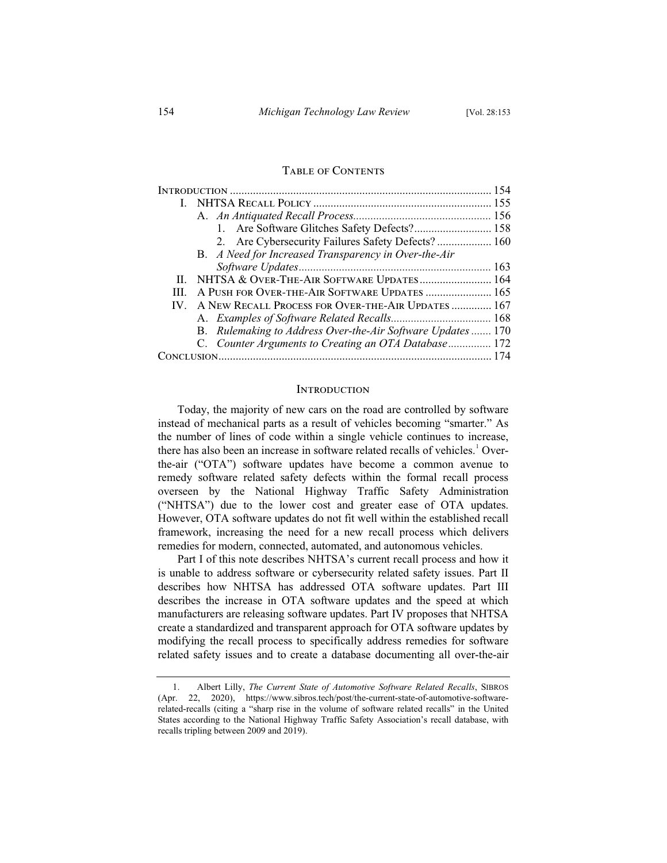#### TABLE OF CONTENTS

|  | 1. Are Software Glitches Safety Defects? 158               |  |
|--|------------------------------------------------------------|--|
|  | 2. Are Cybersecurity Failures Safety Defects? 160          |  |
|  | B. A Need for Increased Transparency in Over-the-Air       |  |
|  |                                                            |  |
|  | II. NHTSA & OVER-THE-AIR SOFTWARE UPDATES 164              |  |
|  | A PUSH FOR OVER-THE-AIR SOFTWARE UPDATES  165              |  |
|  | IV. A NEW RECALL PROCESS FOR OVER-THE-AIR UPDATES  167     |  |
|  |                                                            |  |
|  | B. Rulemaking to Address Over-the-Air Software Updates 170 |  |
|  | C. Counter Arguments to Creating an OTA Database 172       |  |
|  |                                                            |  |
|  |                                                            |  |

#### **INTRODUCTION**

Today, the majority of new cars on the road are controlled by software instead of mechanical parts as a result of vehicles becoming "smarter." As the number of lines of code within a single vehicle continues to increase, there has also been an increase in software related recalls of vehicles.<sup>1</sup> Overthe-air ("OTA") software updates have become a common avenue to remedy software related safety defects within the formal recall process overseen by the National Highway Traffic Safety Administration ("NHTSA") due to the lower cost and greater ease of OTA updates. However, OTA software updates do not fit well within the established recall framework, increasing the need for a new recall process which delivers remedies for modern, connected, automated, and autonomous vehicles.

Part I of this note describes NHTSA's current recall process and how it is unable to address software or cybersecurity related safety issues. Part II describes how NHTSA has addressed OTA software updates. Part III describes the increase in OTA software updates and the speed at which manufacturers are releasing software updates. Part IV proposes that NHTSA create a standardized and transparent approach for OTA software updates by modifying the recall process to specifically address remedies for software related safety issues and to create a database documenting all over-the-air

<sup>1.</sup> Albert Lilly, *The Current State of Automotive Software Related Recalls*, SIBROS (Apr. 22, 2020), https://www.sibros.tech/post/the-current-state-of-automotive-softwarerelated-recalls (citing a "sharp rise in the volume of software related recalls" in the United States according to the National Highway Traffic Safety Association's recall database, with recalls tripling between 2009 and 2019).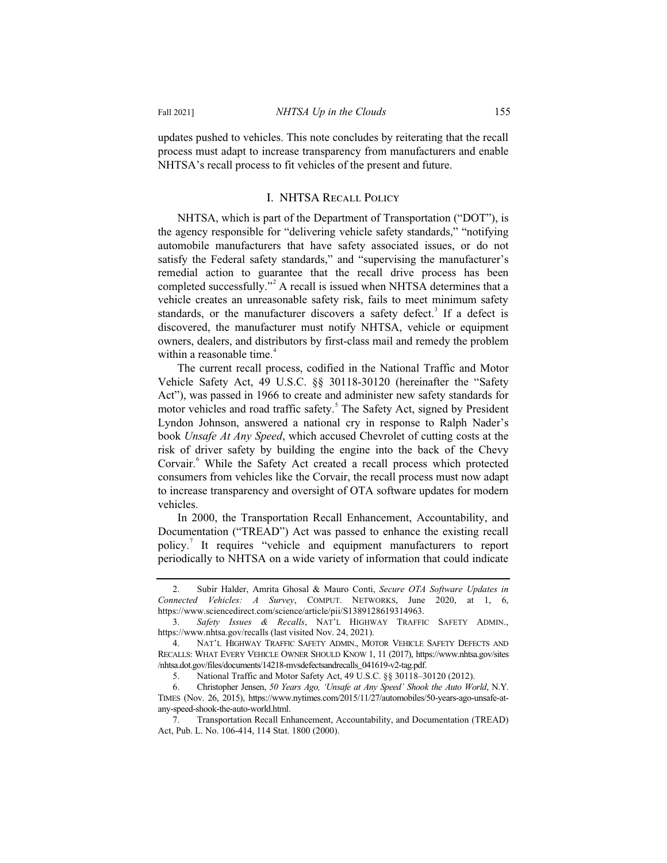updates pushed to vehicles. This note concludes by reiterating that the recall process must adapt to increase transparency from manufacturers and enable NHTSA's recall process to fit vehicles of the present and future.

#### I. NHTSA Recall Policy

NHTSA, which is part of the Department of Transportation ("DOT"), is the agency responsible for "delivering vehicle safety standards," "notifying automobile manufacturers that have safety associated issues, or do not satisfy the Federal safety standards," and "supervising the manufacturer's remedial action to guarantee that the recall drive process has been completed successfully."<sup>2</sup> A recall is issued when NHTSA determines that a vehicle creates an unreasonable safety risk, fails to meet minimum safety standards, or the manufacturer discovers a safety defect.<sup>3</sup> If a defect is discovered, the manufacturer must notify NHTSA, vehicle or equipment owners, dealers, and distributors by first-class mail and remedy the problem within a reasonable time.<sup>4</sup>

The current recall process, codified in the National Traffic and Motor Vehicle Safety Act, 49 U.S.C. §§ 30118-30120 (hereinafter the "Safety Act"), was passed in 1966 to create and administer new safety standards for motor vehicles and road traffic safety.<sup>5</sup> The Safety Act, signed by President Lyndon Johnson, answered a national cry in response to Ralph Nader's book *Unsafe At Any Speed*, which accused Chevrolet of cutting costs at the risk of driver safety by building the engine into the back of the Chevy Corvair.<sup>6</sup> While the Safety Act created a recall process which protected consumers from vehicles like the Corvair, the recall process must now adapt to increase transparency and oversight of OTA software updates for modern vehicles.

In 2000, the Transportation Recall Enhancement, Accountability, and Documentation ("TREAD") Act was passed to enhance the existing recall policy.<sup>7</sup> It requires "vehicle and equipment manufacturers to report periodically to NHTSA on a wide variety of information that could indicate

<sup>2.</sup> Subir Halder, Amrita Ghosal & Mauro Conti, *Secure OTA Software Updates in Connected Vehicles: A Survey*, COMPUT. NETWORKS, June 2020, at 1, 6, https://www.sciencedirect.com/science/article/pii/S1389128619314963.

<sup>3.</sup> *Safety Issues & Recalls*, NAT'L HIGHWAY TRAFFIC SAFETY ADMIN., https://www.nhtsa.gov/recalls (last visited Nov. 24, 2021).

<sup>4.</sup> NAT'L HIGHWAY TRAFFIC SAFETY ADMIN., MOTOR VEHICLE SAFETY DEFECTS AND RECALLS: WHAT EVERY VEHICLE OWNER SHOULD KNOW 1, 11 (2017), https://www.nhtsa.gov/sites /nhtsa.dot.gov/files/documents/14218-mvsdefectsandrecalls\_041619-v2-tag.pdf.

<sup>5.</sup> National Traffic and Motor Safety Act, 49 U.S.C. §§ 30118–30120 (2012).

<sup>6.</sup> Christopher Jensen, *50 Years Ago, 'Unsafe at Any Speed' Shook the Auto World*, N.Y. TIMES (Nov. 26, 2015), https://www.nytimes.com/2015/11/27/automobiles/50-years-ago-unsafe-atany-speed-shook-the-auto-world.html.

<sup>7.</sup> Transportation Recall Enhancement, Accountability, and Documentation (TREAD) Act, Pub. L. No. 106-414, 114 Stat. 1800 (2000).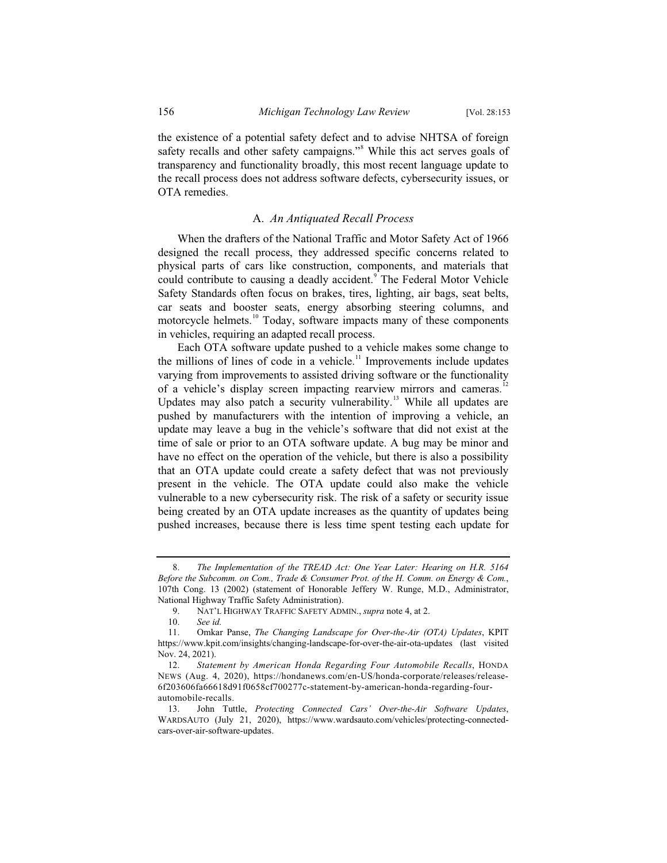the existence of a potential safety defect and to advise NHTSA of foreign safety recalls and other safety campaigns."<sup>8</sup> While this act serves goals of transparency and functionality broadly, this most recent language update to the recall process does not address software defects, cybersecurity issues, or OTA remedies.

#### A. *An Antiquated Recall Process*

When the drafters of the National Traffic and Motor Safety Act of 1966 designed the recall process, they addressed specific concerns related to physical parts of cars like construction, components, and materials that could contribute to causing a deadly accident.<sup>9</sup> The Federal Motor Vehicle Safety Standards often focus on brakes, tires, lighting, air bags, seat belts, car seats and booster seats, energy absorbing steering columns, and motorcycle helmets.<sup>10</sup> Today, software impacts many of these components in vehicles, requiring an adapted recall process.

Each OTA software update pushed to a vehicle makes some change to the millions of lines of code in a vehicle.<sup>11</sup> Improvements include updates varying from improvements to assisted driving software or the functionality of a vehicle's display screen impacting rearview mirrors and cameras.<sup>12</sup> Updates may also patch a security vulnerability.<sup>13</sup> While all updates are pushed by manufacturers with the intention of improving a vehicle, an update may leave a bug in the vehicle's software that did not exist at the time of sale or prior to an OTA software update. A bug may be minor and have no effect on the operation of the vehicle, but there is also a possibility that an OTA update could create a safety defect that was not previously present in the vehicle. The OTA update could also make the vehicle vulnerable to a new cybersecurity risk. The risk of a safety or security issue being created by an OTA update increases as the quantity of updates being pushed increases, because there is less time spent testing each update for

<sup>8.</sup> *The Implementation of the TREAD Act: One Year Later: Hearing on H.R. 5164 Before the Subcomm. on Com., Trade & Consumer Prot. of the H. Comm. on Energy & Com.*, 107th Cong. 13 (2002) (statement of Honorable Jeffery W. Runge, M.D., Administrator, National Highway Traffic Safety Administration).

<sup>9.</sup> NAT'L HIGHWAY TRAFFIC SAFETY ADMIN., *supra* note 4, at 2.

See *id.* 

<sup>11.</sup> Omkar Panse, *The Changing Landscape for Over-the-Air (OTA) Updates*, KPIT https://www.kpit.com/insights/changing-landscape-for-over-the-air-ota-updates (last visited Nov. 24, 2021).

<sup>12.</sup> *Statement by American Honda Regarding Four Automobile Recalls*, HONDA NEWS (Aug. 4, 2020), https://hondanews.com/en-US/honda-corporate/releases/release-6f203606fa66618d91f0658cf700277c-statement-by-american-honda-regarding-fourautomobile-recalls.

<sup>13.</sup> John Tuttle, *Protecting Connected Cars' Over-the-Air Software Updates*, WARDSAUTO (July 21, 2020), https://www.wardsauto.com/vehicles/protecting-connectedcars-over-air-software-updates.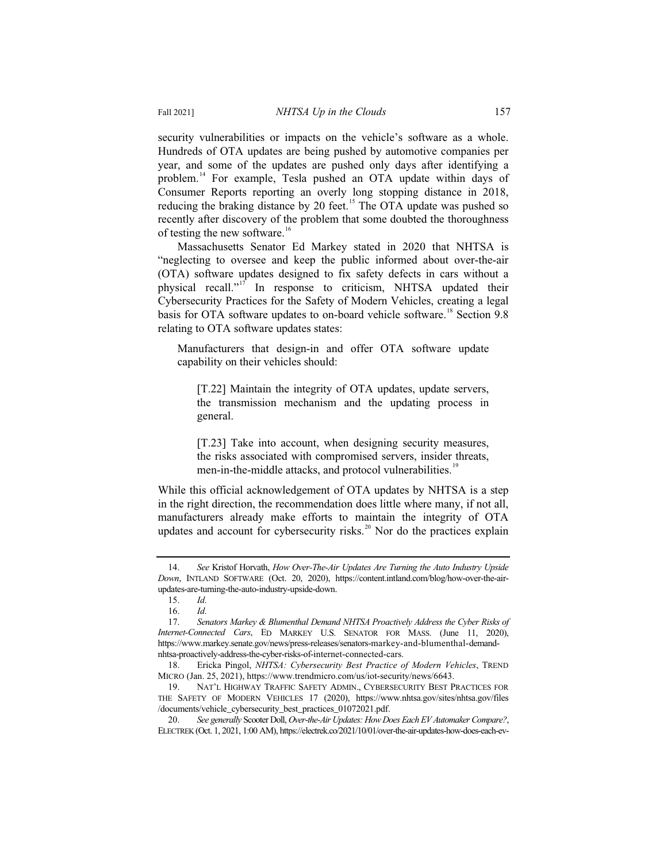security vulnerabilities or impacts on the vehicle's software as a whole. Hundreds of OTA updates are being pushed by automotive companies per year, and some of the updates are pushed only days after identifying a problem.<sup>14</sup> For example, Tesla pushed an OTA update within days of Consumer Reports reporting an overly long stopping distance in 2018, reducing the braking distance by 20 feet.<sup>15</sup> The OTA update was pushed so recently after discovery of the problem that some doubted the thoroughness of testing the new software.<sup>16</sup>

Massachusetts Senator Ed Markey stated in 2020 that NHTSA is "neglecting to oversee and keep the public informed about over-the-air (OTA) software updates designed to fix safety defects in cars without a physical recall."<sup>17</sup> In response to criticism, NHTSA updated their Cybersecurity Practices for the Safety of Modern Vehicles, creating a legal basis for OTA software updates to on-board vehicle software.<sup>18</sup> Section 9.8 relating to OTA software updates states:

Manufacturers that design-in and offer OTA software update capability on their vehicles should:

[T.22] Maintain the integrity of OTA updates, update servers, the transmission mechanism and the updating process in general.

[T.23] Take into account, when designing security measures, the risks associated with compromised servers, insider threats, men-in-the-middle attacks, and protocol vulnerabilities.<sup>19</sup>

While this official acknowledgement of OTA updates by NHTSA is a step in the right direction, the recommendation does little where many, if not all, manufacturers already make efforts to maintain the integrity of OTA updates and account for cybersecurity risks.<sup>20</sup> Nor do the practices explain

<sup>14.</sup> *See* Kristof Horvath, *How Over-The-Air Updates Are Turning the Auto Industry Upside Down*, INTLAND SOFTWARE (Oct. 20, 2020), https://content.intland.com/blog/how-over-the-airupdates-are-turning-the-auto-industry-upside-down.

<sup>15.</sup> *Id.*

<sup>16.</sup> *Id.*

<sup>17.</sup> *Senators Markey & Blumenthal Demand NHTSA Proactively Address the Cyber Risks of Internet-Connected Cars*, ED MARKEY U.S. SENATOR FOR MASS. (June 11, 2020), https://www.markey.senate.gov/news/press-releases/senators-markey-and-blumenthal-demandnhtsa-proactively-address-the-cyber-risks-of-internet-connected-cars.

<sup>18.</sup> Ericka Pingol, *NHTSA: Cybersecurity Best Practice of Modern Vehicles*, TREND MICRO (Jan. 25, 2021), https://www.trendmicro.com/us/iot-security/news/6643.

<sup>19.</sup> NAT'L HIGHWAY TRAFFIC SAFETY ADMIN., CYBERSECURITY BEST PRACTICES FOR THE SAFETY OF MODERN VEHICLES 17 (2020), https://www.nhtsa.gov/sites/nhtsa.gov/files /documents/vehicle\_cybersecurity\_best\_practices\_01072021.pdf.

<sup>20.</sup> *See generally* Scooter Doll, *Over-the-Air Updates: How Does Each EV Automaker Compare?*, ELECTREK (Oct. 1, 2021, 1:00 AM), https://electrek.co/2021/10/01/over-the-air-updates-how-does-each-ev-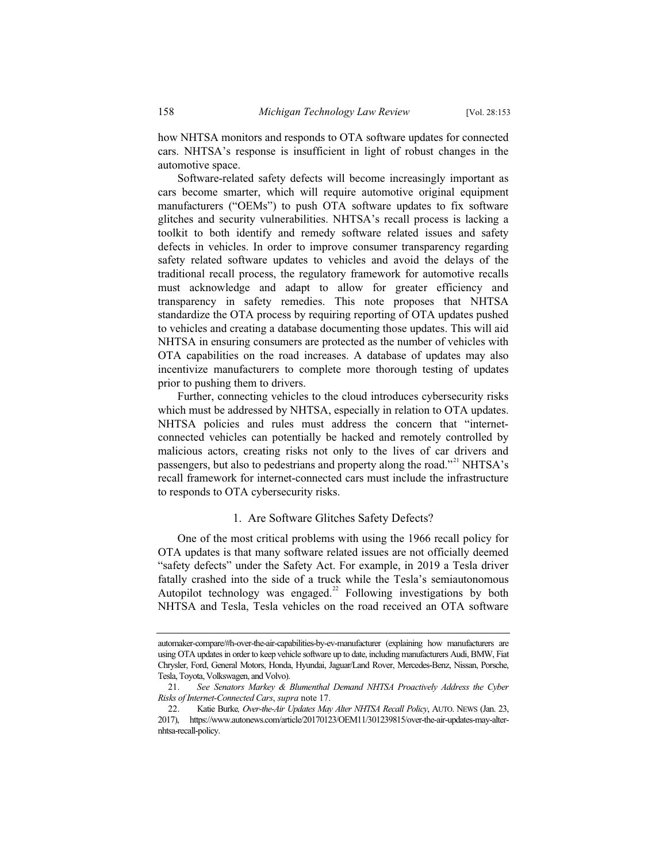how NHTSA monitors and responds to OTA software updates for connected cars. NHTSA's response is insufficient in light of robust changes in the automotive space.

Software-related safety defects will become increasingly important as cars become smarter, which will require automotive original equipment manufacturers ("OEMs") to push OTA software updates to fix software glitches and security vulnerabilities. NHTSA's recall process is lacking a toolkit to both identify and remedy software related issues and safety defects in vehicles. In order to improve consumer transparency regarding safety related software updates to vehicles and avoid the delays of the traditional recall process, the regulatory framework for automotive recalls must acknowledge and adapt to allow for greater efficiency and transparency in safety remedies. This note proposes that NHTSA standardize the OTA process by requiring reporting of OTA updates pushed to vehicles and creating a database documenting those updates. This will aid NHTSA in ensuring consumers are protected as the number of vehicles with OTA capabilities on the road increases. A database of updates may also incentivize manufacturers to complete more thorough testing of updates prior to pushing them to drivers.

Further, connecting vehicles to the cloud introduces cybersecurity risks which must be addressed by NHTSA, especially in relation to OTA updates. NHTSA policies and rules must address the concern that "internetconnected vehicles can potentially be hacked and remotely controlled by malicious actors, creating risks not only to the lives of car drivers and passengers, but also to pedestrians and property along the road."<sup>21</sup> NHTSA's recall framework for internet-connected cars must include the infrastructure to responds to OTA cybersecurity risks.

#### 1. Are Software Glitches Safety Defects?

One of the most critical problems with using the 1966 recall policy for OTA updates is that many software related issues are not officially deemed "safety defects" under the Safety Act. For example, in 2019 a Tesla driver fatally crashed into the side of a truck while the Tesla's semiautonomous Autopilot technology was engaged.<sup>22</sup> Following investigations by both NHTSA and Tesla, Tesla vehicles on the road received an OTA software

automaker-compare/#h-over-the-air-capabilities-by-ev-manufacturer (explaining how manufacturers are using OTA updates in order to keep vehicle software up to date, including manufacturers Audi, BMW, Fiat Chrysler, Ford, General Motors, Honda, Hyundai, Jaguar/Land Rover, Mercedes-Benz, Nissan, Porsche, Tesla, Toyota, Volkswagen, and Volvo).

<sup>21.</sup> *See Senators Markey & Blumenthal Demand NHTSA Proactively Address the Cyber Risks of Internet-Connected Cars*, *supra* note 17.

<sup>22.</sup> Katie Burke*, Over-the-Air Updates May Alter NHTSA Recall Policy*, AUTO. NEWS (Jan. 23, 2017), https://www.autonews.com/article/20170123/OEM11/301239815/over-the-air-updates-may-alternhtsa-recall-policy.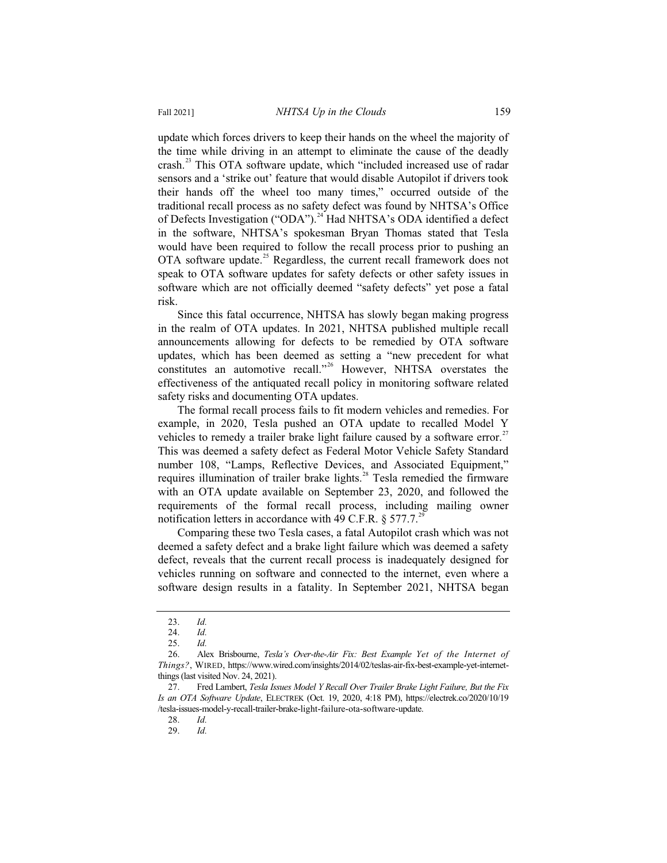update which forces drivers to keep their hands on the wheel the majority of the time while driving in an attempt to eliminate the cause of the deadly crash.<sup>23</sup> This OTA software update, which "included increased use of radar sensors and a 'strike out' feature that would disable Autopilot if drivers took their hands off the wheel too many times," occurred outside of the traditional recall process as no safety defect was found by NHTSA's Office of Defects Investigation ("ODA").<sup>24</sup> Had NHTSA's ODA identified a defect in the software, NHTSA's spokesman Bryan Thomas stated that Tesla would have been required to follow the recall process prior to pushing an OTA software update.<sup>25</sup> Regardless, the current recall framework does not speak to OTA software updates for safety defects or other safety issues in software which are not officially deemed "safety defects" yet pose a fatal risk.

Since this fatal occurrence, NHTSA has slowly began making progress in the realm of OTA updates. In 2021, NHTSA published multiple recall announcements allowing for defects to be remedied by OTA software updates, which has been deemed as setting a "new precedent for what constitutes an automotive recall."<sup>26</sup> However, NHTSA overstates the effectiveness of the antiquated recall policy in monitoring software related safety risks and documenting OTA updates.

The formal recall process fails to fit modern vehicles and remedies. For example, in 2020, Tesla pushed an OTA update to recalled Model Y vehicles to remedy a trailer brake light failure caused by a software error.<sup>2</sup> This was deemed a safety defect as Federal Motor Vehicle Safety Standard number 108, "Lamps, Reflective Devices, and Associated Equipment," requires illumination of trailer brake lights.<sup>28</sup> Tesla remedied the firmware with an OTA update available on September 23, 2020, and followed the requirements of the formal recall process, including mailing owner notification letters in accordance with 49 C.F.R.  $\S 577.7<sup>2</sup>$ 

Comparing these two Tesla cases, a fatal Autopilot crash which was not deemed a safety defect and a brake light failure which was deemed a safety defect, reveals that the current recall process is inadequately designed for vehicles running on software and connected to the internet, even where a software design results in a fatality. In September 2021, NHTSA began

<sup>23.</sup> *Id.*

<sup>24.</sup> *Id.*

<sup>25.</sup> *Id.*

<sup>26.</sup> Alex Brisbourne, *Tesla's Over-the-Air Fix: Best Example Yet of the Internet of Things?*, WIRED, https://www.wired.com/insights/2014/02/teslas-air-fix-best-example-yet-internetthings (last visited Nov. 24, 2021).

<sup>27.</sup> Fred Lambert, *Tesla Issues Model Y Recall Over Trailer Brake Light Failure, But the Fix Is an OTA Software Update*, ELECTREK (Oct. 19, 2020, 4:18 PM), https://electrek.co/2020/10/19 /tesla-issues-model-y-recall-trailer-brake-light-failure-ota-software-update.

<sup>28.</sup> *Id.*

<sup>29.</sup> *Id.*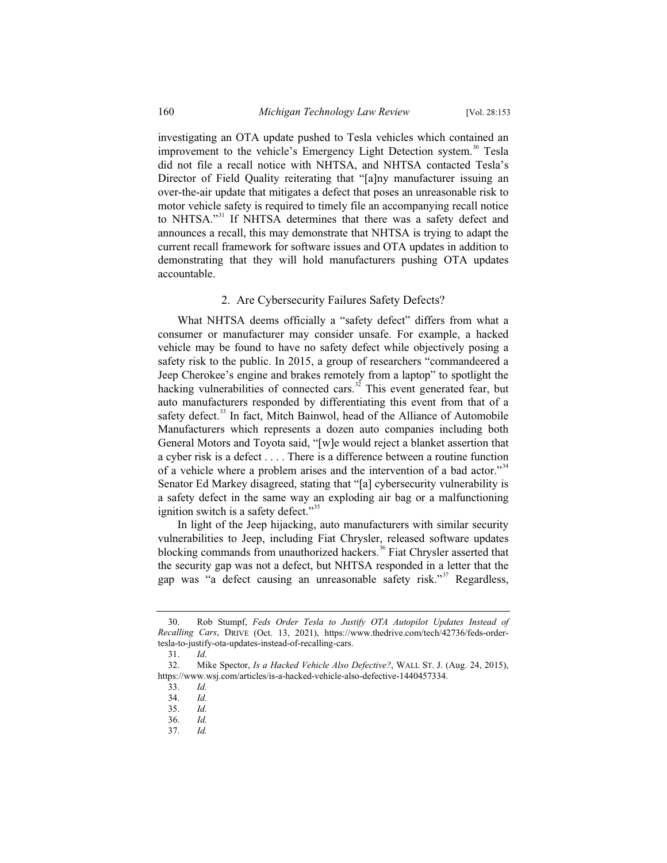investigating an OTA update pushed to Tesla vehicles which contained an improvement to the vehicle's Emergency Light Detection system.<sup>30</sup> Tesla did not file a recall notice with NHTSA, and NHTSA contacted Tesla's Director of Field Quality reiterating that "[a]ny manufacturer issuing an over-the-air update that mitigates a defect that poses an unreasonable risk to motor vehicle safety is required to timely file an accompanying recall notice to NHTSA."<sup>31</sup> If NHTSA determines that there was a safety defect and announces a recall, this may demonstrate that NHTSA is trying to adapt the current recall framework for software issues and OTA updates in addition to demonstrating that they will hold manufacturers pushing OTA updates accountable.

#### 2. Are Cybersecurity Failures Safety Defects?

What NHTSA deems officially a "safety defect" differs from what a consumer or manufacturer may consider unsafe. For example, a hacked vehicle may be found to have no safety defect while objectively posing a safety risk to the public. In 2015, a group of researchers "commandeered a Jeep Cherokee's engine and brakes remotely from a laptop" to spotlight the hacking vulnerabilities of connected cars.<sup>32</sup> This event generated fear, but auto manufacturers responded by differentiating this event from that of a safety defect.<sup>33</sup> In fact, Mitch Bainwol, head of the Alliance of Automobile Manufacturers which represents a dozen auto companies including both General Motors and Toyota said, "[w]e would reject a blanket assertion that a cyber risk is a defect . . . . There is a difference between a routine function of a vehicle where a problem arises and the intervention of a bad actor."<sup>34</sup> Senator Ed Markey disagreed, stating that "[a] cybersecurity vulnerability is a safety defect in the same way an exploding air bag or a malfunctioning ignition switch is a safety defect."<sup>35</sup>

In light of the Jeep hijacking, auto manufacturers with similar security vulnerabilities to Jeep, including Fiat Chrysler, released software updates blocking commands from unauthorized hackers.<sup>36</sup> Fiat Chrysler asserted that the security gap was not a defect, but NHTSA responded in a letter that the gap was "a defect causing an unreasonable safety risk."<sup>37</sup> Regardless,

<sup>30.</sup> Rob Stumpf, *Feds Order Tesla to Justify OTA Autopilot Updates Instead of Recalling Cars*, DRIVE (Oct. 13, 2021), https://www.thedrive.com/tech/42736/feds-ordertesla-to-justify-ota-updates-instead-of-recalling-cars.

<sup>31.</sup> *Id.*

<sup>32.</sup> Mike Spector, *Is a Hacked Vehicle Also Defective?*, WALL ST. J. (Aug. 24, 2015), https://www.wsj.com/articles/is-a-hacked-vehicle-also-defective-1440457334.

<sup>33.</sup> *Id.*

<sup>34.</sup> *Id.*

<sup>35.</sup> *Id.*

<sup>36.</sup> *Id.*

<sup>37.</sup> *Id.*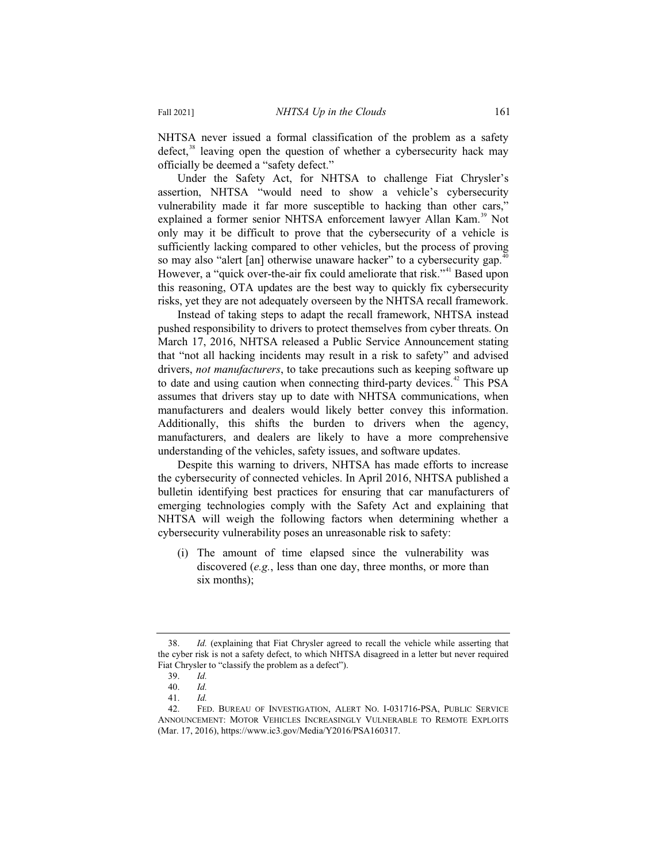NHTSA never issued a formal classification of the problem as a safety defect, $38$  leaving open the question of whether a cybersecurity hack may officially be deemed a "safety defect."

Under the Safety Act, for NHTSA to challenge Fiat Chrysler's assertion, NHTSA "would need to show a vehicle's cybersecurity vulnerability made it far more susceptible to hacking than other cars," explained a former senior NHTSA enforcement lawyer Allan Kam.<sup>39</sup> Not only may it be difficult to prove that the cybersecurity of a vehicle is sufficiently lacking compared to other vehicles, but the process of proving so may also "alert [an] otherwise unaware hacker" to a cybersecurity gap.<sup>40</sup> However, a "quick over-the-air fix could ameliorate that risk."<sup>41</sup> Based upon this reasoning, OTA updates are the best way to quickly fix cybersecurity risks, yet they are not adequately overseen by the NHTSA recall framework.

Instead of taking steps to adapt the recall framework, NHTSA instead pushed responsibility to drivers to protect themselves from cyber threats. On March 17, 2016, NHTSA released a Public Service Announcement stating that "not all hacking incidents may result in a risk to safety" and advised drivers, *not manufacturers*, to take precautions such as keeping software up to date and using caution when connecting third-party devices.<sup>42</sup> This PSA assumes that drivers stay up to date with NHTSA communications, when manufacturers and dealers would likely better convey this information. Additionally, this shifts the burden to drivers when the agency, manufacturers, and dealers are likely to have a more comprehensive understanding of the vehicles, safety issues, and software updates.

Despite this warning to drivers, NHTSA has made efforts to increase the cybersecurity of connected vehicles. In April 2016, NHTSA published a bulletin identifying best practices for ensuring that car manufacturers of emerging technologies comply with the Safety Act and explaining that NHTSA will weigh the following factors when determining whether a cybersecurity vulnerability poses an unreasonable risk to safety:

(i) The amount of time elapsed since the vulnerability was discovered (*e.g.*, less than one day, three months, or more than six months);

<sup>38.</sup> *Id.* (explaining that Fiat Chrysler agreed to recall the vehicle while asserting that the cyber risk is not a safety defect, to which NHTSA disagreed in a letter but never required Fiat Chrysler to "classify the problem as a defect").

<sup>39.</sup> *Id.*

<sup>40.</sup> *Id.*

<sup>41.</sup> *Id.*

<sup>42.</sup> FED. BUREAU OF INVESTIGATION, ALERT NO. I-031716-PSA, PUBLIC SERVICE ANNOUNCEMENT: MOTOR VEHICLES INCREASINGLY VULNERABLE TO REMOTE EXPLOITS (Mar. 17, 2016), https://www.ic3.gov/Media/Y2016/PSA160317.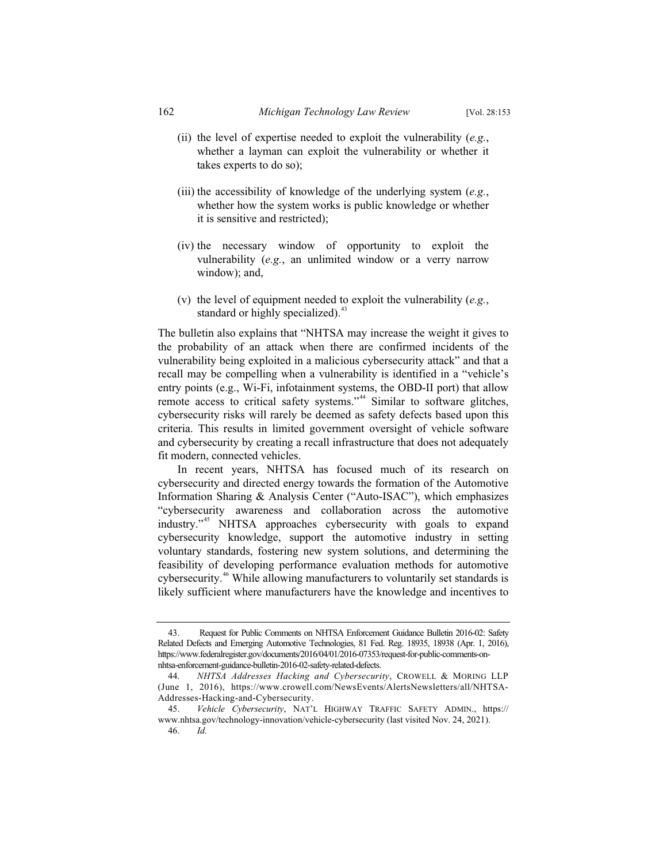- (ii) the level of expertise needed to exploit the vulnerability (*e.g.*, whether a layman can exploit the vulnerability or whether it takes experts to do so);
- (iii) the accessibility of knowledge of the underlying system (*e.g.*, whether how the system works is public knowledge or whether it is sensitive and restricted);
- (iv) the necessary window of opportunity to exploit the vulnerability (*e.g.*, an unlimited window or a verry narrow window); and,
- (v) the level of equipment needed to exploit the vulnerability (*e.g.*, standard or highly specialized).<sup>43</sup>

The bulletin also explains that "NHTSA may increase the weight it gives to the probability of an attack when there are confirmed incidents of the vulnerability being exploited in a malicious cybersecurity attack" and that a recall may be compelling when a vulnerability is identified in a "vehicle's entry points (e.g., Wi-Fi, infotainment systems, the OBD-II port) that allow remote access to critical safety systems."<sup>44</sup> Similar to software glitches, cybersecurity risks will rarely be deemed as safety defects based upon this criteria. This results in limited government oversight of vehicle software and cybersecurity by creating a recall infrastructure that does not adequately fit modern, connected vehicles.

In recent years, NHTSA has focused much of its research on cybersecurity and directed energy towards the formation of the Automotive Information Sharing & Analysis Center ("Auto-ISAC"), which emphasizes "cybersecurity awareness and collaboration across the automotive industry."<sup>45</sup> NHTSA approaches cybersecurity with goals to expand cybersecurity knowledge, support the automotive industry in setting voluntary standards, fostering new system solutions, and determining the feasibility of developing performance evaluation methods for automotive cybersecurity.<sup>46</sup> While allowing manufacturers to voluntarily set standards is likely sufficient where manufacturers have the knowledge and incentives to

<sup>43.</sup> Request for Public Comments on NHTSA Enforcement Guidance Bulletin 2016-02: Safety Related Defects and Emerging Automotive Technologies, 81 Fed. Reg. 18935, 18938 (Apr. 1, 2016), https://www.federalregister.gov/documents/2016/04/01/2016-07353/request-for-public-comments-onnhtsa-enforcement-guidance-bulletin-2016-02-safety-related-defects.

<sup>44.</sup> *NHTSA Addresses Hacking and Cybersecurity*, CROWELL & MORING LLP (June 1, 2016), https://www.crowell.com/NewsEvents/AlertsNewsletters/all/NHTSA-Addresses-Hacking-and-Cybersecurity.

<sup>45.</sup> *Vehicle Cybersecurity*, NAT'L HIGHWAY TRAFFIC SAFETY ADMIN., https:// www.nhtsa.gov/technology-innovation/vehicle-cybersecurity (last visited Nov. 24, 2021). 46. *Id.*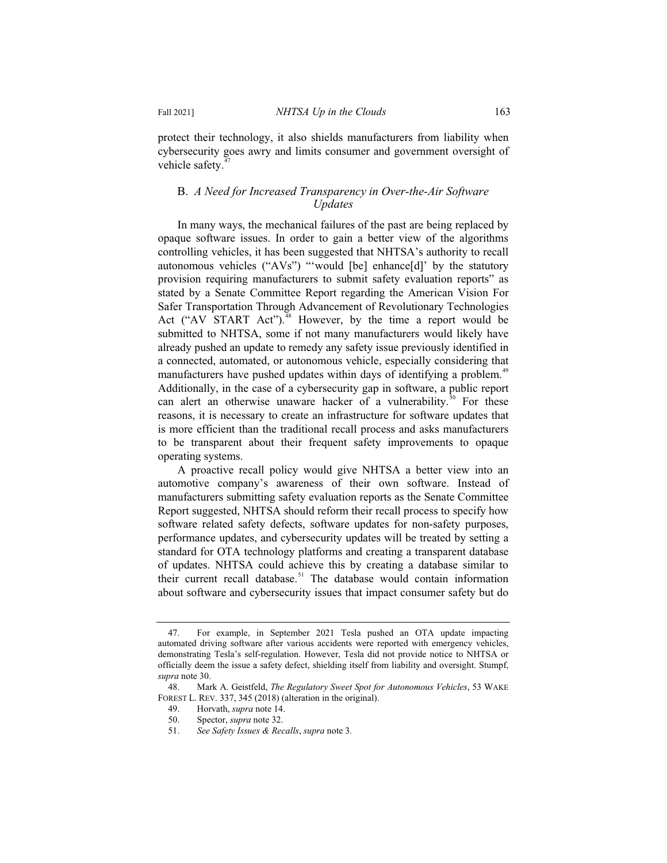protect their technology, it also shields manufacturers from liability when cybersecurity goes awry and limits consumer and government oversight of vehicle safety.<sup>4</sup>

#### B. *A Need for Increased Transparency in Over-the-Air Software Updates*

In many ways, the mechanical failures of the past are being replaced by opaque software issues. In order to gain a better view of the algorithms controlling vehicles, it has been suggested that NHTSA's authority to recall autonomous vehicles ("AVs") "'would [be] enhance[d]' by the statutory provision requiring manufacturers to submit safety evaluation reports" as stated by a Senate Committee Report regarding the American Vision For Safer Transportation Through Advancement of Revolutionary Technologies Act ("AV START Act").<sup>48</sup> However, by the time a report would be submitted to NHTSA, some if not many manufacturers would likely have already pushed an update to remedy any safety issue previously identified in a connected, automated, or autonomous vehicle, especially considering that manufacturers have pushed updates within days of identifying a problem.<sup>49</sup> Additionally, in the case of a cybersecurity gap in software, a public report can alert an otherwise unaware hacker of a vulnerability.<sup>50</sup> For these reasons, it is necessary to create an infrastructure for software updates that is more efficient than the traditional recall process and asks manufacturers to be transparent about their frequent safety improvements to opaque operating systems.

A proactive recall policy would give NHTSA a better view into an automotive company's awareness of their own software. Instead of manufacturers submitting safety evaluation reports as the Senate Committee Report suggested, NHTSA should reform their recall process to specify how software related safety defects, software updates for non-safety purposes, performance updates, and cybersecurity updates will be treated by setting a standard for OTA technology platforms and creating a transparent database of updates. NHTSA could achieve this by creating a database similar to their current recall database.<sup>51</sup> The database would contain information about software and cybersecurity issues that impact consumer safety but do

<sup>47.</sup> For example, in September 2021 Tesla pushed an OTA update impacting automated driving software after various accidents were reported with emergency vehicles, demonstrating Tesla's self-regulation. However, Tesla did not provide notice to NHTSA or officially deem the issue a safety defect, shielding itself from liability and oversight. Stumpf, *supra* note 30.

<sup>48.</sup> Mark A. Geistfeld, *The Regulatory Sweet Spot for Autonomous Vehicles*, 53 WAKE FOREST L. REV. 337, 345 (2018) (alteration in the original).

<sup>49.</sup> Horvath, *supra* note 14.

Spector, *supra* note 32.

<sup>51.</sup> *See Safety Issues & Recalls*, *supra* note 3*.*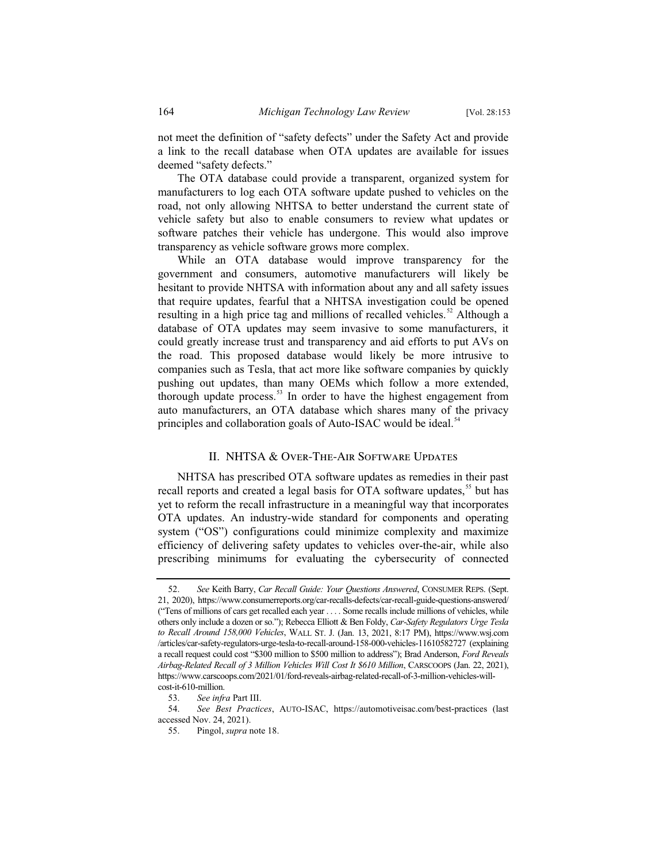not meet the definition of "safety defects" under the Safety Act and provide a link to the recall database when OTA updates are available for issues deemed "safety defects."

The OTA database could provide a transparent, organized system for manufacturers to log each OTA software update pushed to vehicles on the road, not only allowing NHTSA to better understand the current state of vehicle safety but also to enable consumers to review what updates or software patches their vehicle has undergone. This would also improve transparency as vehicle software grows more complex.

While an OTA database would improve transparency for the government and consumers, automotive manufacturers will likely be hesitant to provide NHTSA with information about any and all safety issues that require updates, fearful that a NHTSA investigation could be opened resulting in a high price tag and millions of recalled vehicles.<sup>52</sup> Although a database of OTA updates may seem invasive to some manufacturers, it could greatly increase trust and transparency and aid efforts to put AVs on the road. This proposed database would likely be more intrusive to companies such as Tesla, that act more like software companies by quickly pushing out updates, than many OEMs which follow a more extended, thorough update process.<sup>53</sup> In order to have the highest engagement from auto manufacturers, an OTA database which shares many of the privacy principles and collaboration goals of Auto-ISAC would be ideal.<sup>54</sup>

#### II. NHTSA & Over-The-Air Software Updates

NHTSA has prescribed OTA software updates as remedies in their past recall reports and created a legal basis for OTA software updates,<sup>55</sup> but has yet to reform the recall infrastructure in a meaningful way that incorporates OTA updates. An industry-wide standard for components and operating system ("OS") configurations could minimize complexity and maximize efficiency of delivering safety updates to vehicles over-the-air, while also prescribing minimums for evaluating the cybersecurity of connected

<sup>52.</sup> *See* Keith Barry, *Car Recall Guide: Your Questions Answered*, CONSUMER REPS. (Sept. 21, 2020), https://www.consumerreports.org/car-recalls-defects/car-recall-guide-questions-answered/ ("Tens of millions of cars get recalled each year . . . . Some recalls include millions of vehicles, while others only include a dozen or so."); Rebecca Elliott & Ben Foldy, *Car-Safety Regulators Urge Tesla to Recall Around 158,000 Vehicles*, WALL ST. J. (Jan. 13, 2021, 8:17 PM), https://www.wsj.com /articles/car-safety-regulators-urge-tesla-to-recall-around-158-000-vehicles-11610582727 (explaining a recall request could cost "\$300 million to \$500 million to address"); Brad Anderson, *Ford Reveals Airbag-Related Recall of 3 Million Vehicles Will Cost It \$610 Million*, CARSCOOPS (Jan. 22, 2021), https://www.carscoops.com/2021/01/ford-reveals-airbag-related-recall-of-3-million-vehicles-willcost-it-610-million.

<sup>53.</sup> *See infra* Part III.

<sup>54.</sup> *See Best Practices*, AUTO-ISAC, https://automotiveisac.com/best-practices (last accessed Nov. 24, 2021).

<sup>55.</sup> Pingol, *supra* note 18.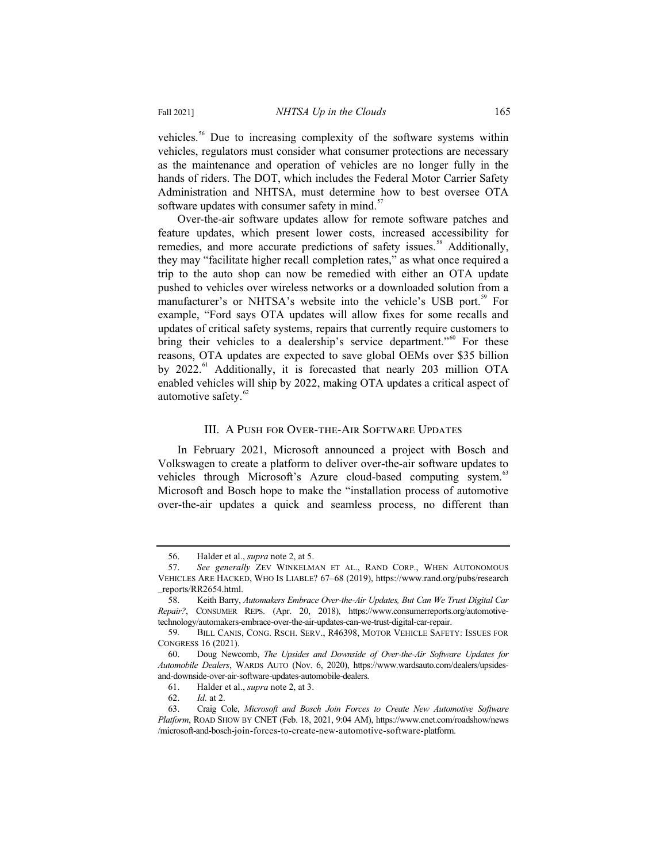Fall 2021] *NHTSA Up in the Clouds* 165

vehicles.<sup>56</sup> Due to increasing complexity of the software systems within vehicles, regulators must consider what consumer protections are necessary as the maintenance and operation of vehicles are no longer fully in the hands of riders. The DOT, which includes the Federal Motor Carrier Safety Administration and NHTSA, must determine how to best oversee OTA software updates with consumer safety in mind. $57$ 

Over-the-air software updates allow for remote software patches and feature updates, which present lower costs, increased accessibility for remedies, and more accurate predictions of safety issues.<sup>58</sup> Additionally, they may "facilitate higher recall completion rates," as what once required a trip to the auto shop can now be remedied with either an OTA update pushed to vehicles over wireless networks or a downloaded solution from a manufacturer's or NHTSA's website into the vehicle's USB port.<sup>59</sup> For example, "Ford says OTA updates will allow fixes for some recalls and updates of critical safety systems, repairs that currently require customers to bring their vehicles to a dealership's service department."<sup>60</sup> For these reasons, OTA updates are expected to save global OEMs over \$35 billion by  $2022.^{61}$  Additionally, it is forecasted that nearly 203 million OTA enabled vehicles will ship by 2022, making OTA updates a critical aspect of automotive safety.<sup>62</sup>

#### III. A Push for Over-the-Air Software Updates

In February 2021, Microsoft announced a project with Bosch and Volkswagen to create a platform to deliver over-the-air software updates to vehicles through Microsoft's Azure cloud-based computing system.<sup>63</sup> Microsoft and Bosch hope to make the "installation process of automotive over-the-air updates a quick and seamless process, no different than

<sup>56.</sup> Halder et al., *supra* note 2, at 5.

<sup>57.</sup> *See generally* ZEV WINKELMAN ET AL., RAND CORP., WHEN AUTONOMOUS VEHICLES ARE HACKED, WHO IS LIABLE? 67–68 (2019), https://www.rand.org/pubs/research \_reports/RR2654.html.

<sup>58.</sup> Keith Barry, *Automakers Embrace Over-the-Air Updates, But Can We Trust Digital Car Repair?*, CONSUMER REPS. (Apr. 20, 2018), https://www.consumerreports.org/automotivetechnology/automakers-embrace-over-the-air-updates-can-we-trust-digital-car-repair.

<sup>59.</sup> BILL CANIS, CONG. RSCH. SERV., R46398, MOTOR VEHICLE SAFETY: ISSUES FOR CONGRESS 16 (2021).

<sup>60.</sup> Doug Newcomb, *The Upsides and Downside of Over-the-Air Software Updates for Automobile Dealers*, WARDS AUTO (Nov. 6, 2020), https://www.wardsauto.com/dealers/upsidesand-downside-over-air-software-updates-automobile-dealers.

<sup>61.</sup> Halder et al., *supra* note 2, at 3.

<sup>62.</sup> *Id.* at 2.

<sup>63.</sup> Craig Cole, *Microsoft and Bosch Join Forces to Create New Automotive Software Platform*, ROAD SHOW BY CNET (Feb. 18, 2021, 9:04 AM), https://www.cnet.com/roadshow/news /microsoft-and-bosch-join-forces-to-create-new-automotive-software-platform.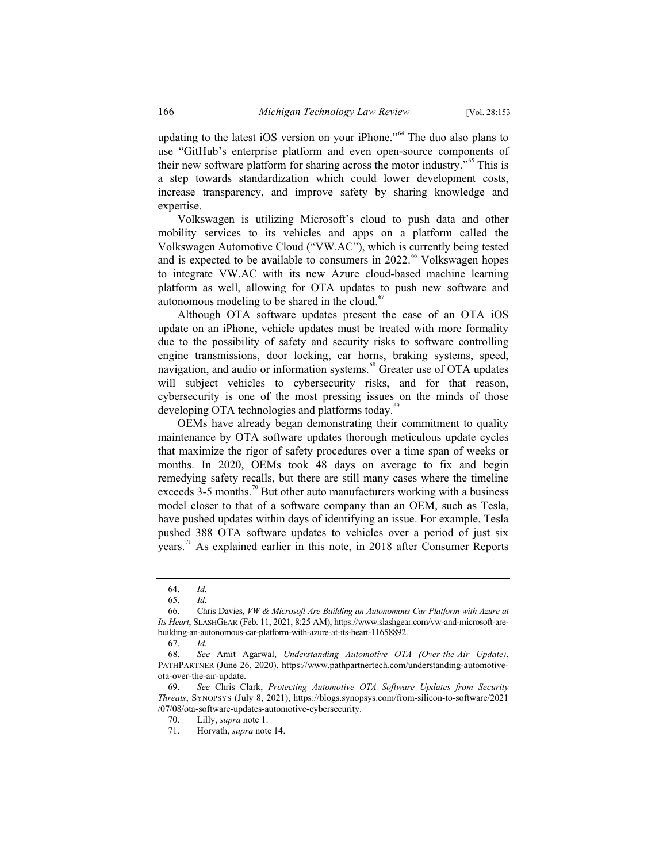updating to the latest iOS version on your iPhone."<sup>64</sup> The duo also plans to use "GitHub's enterprise platform and even open-source components of their new software platform for sharing across the motor industry."<sup>65</sup> This is a step towards standardization which could lower development costs, increase transparency, and improve safety by sharing knowledge and expertise.

Volkswagen is utilizing Microsoft's cloud to push data and other mobility services to its vehicles and apps on a platform called the Volkswagen Automotive Cloud ("VW.AC"), which is currently being tested and is expected to be available to consumers in  $2022.^{66}$  Volkswagen hopes to integrate VW.AC with its new Azure cloud-based machine learning platform as well, allowing for OTA updates to push new software and autonomous modeling to be shared in the cloud. $67$ 

Although OTA software updates present the ease of an OTA iOS update on an iPhone, vehicle updates must be treated with more formality due to the possibility of safety and security risks to software controlling engine transmissions, door locking, car horns, braking systems, speed, navigation, and audio or information systems.<sup>68</sup> Greater use of OTA updates will subject vehicles to cybersecurity risks, and for that reason, cybersecurity is one of the most pressing issues on the minds of those developing OTA technologies and platforms today.<sup>69</sup>

OEMs have already began demonstrating their commitment to quality maintenance by OTA software updates thorough meticulous update cycles that maximize the rigor of safety procedures over a time span of weeks or months. In 2020, OEMs took 48 days on average to fix and begin remedying safety recalls, but there are still many cases where the timeline exceeds  $3-5$  months.<sup>70</sup> But other auto manufacturers working with a business model closer to that of a software company than an OEM, such as Tesla, have pushed updates within days of identifying an issue. For example, Tesla pushed 388 OTA software updates to vehicles over a period of just six years.<sup>71</sup> As explained earlier in this note, in 2018 after Consumer Reports

<sup>64.</sup> *Id.*

<sup>65.</sup> *Id.*

<sup>66.</sup> Chris Davies, *VW & Microsoft Are Building an Autonomous Car Platform with Azure at Its Heart*, SLASHGEAR (Feb. 11, 2021, 8:25 AM), https://www.slashgear.com/vw-and-microsoft-arebuilding-an-autonomous-car-platform-with-azure-at-its-heart-11658892.

<sup>67.</sup> *Id.*

<sup>68.</sup> *See* Amit Agarwal, *Understanding Automotive OTA (Over-the-Air Update)*, PATHPARTNER (June 26, 2020), https://www.pathpartnertech.com/understanding-automotiveota-over-the-air-update.

<sup>69.</sup> *See* Chris Clark, *Protecting Automotive OTA Software Updates from Security Threats*, SYNOPSYS (July 8, 2021), https://blogs.synopsys.com/from-silicon-to-software/2021 /07/08/ota-software-updates-automotive-cybersecurity.

<sup>70.</sup> Lilly, *supra* note 1.

<sup>71.</sup> Horvath, *supra* note 14.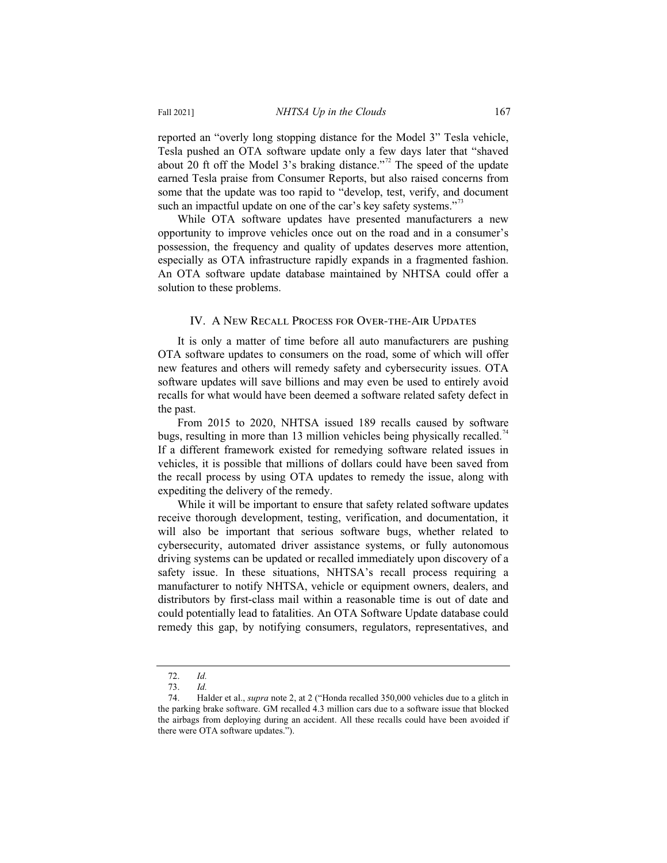reported an "overly long stopping distance for the Model 3" Tesla vehicle, Tesla pushed an OTA software update only a few days later that "shaved about 20 ft off the Model 3's braking distance."<sup>72</sup> The speed of the update earned Tesla praise from Consumer Reports, but also raised concerns from some that the update was too rapid to "develop, test, verify, and document such an impactful update on one of the car's key safety systems."<sup>13</sup>

While OTA software updates have presented manufacturers a new opportunity to improve vehicles once out on the road and in a consumer's possession, the frequency and quality of updates deserves more attention, especially as OTA infrastructure rapidly expands in a fragmented fashion. An OTA software update database maintained by NHTSA could offer a solution to these problems.

#### IV. A New Recall Process for Over-the-Air Updates

It is only a matter of time before all auto manufacturers are pushing OTA software updates to consumers on the road, some of which will offer new features and others will remedy safety and cybersecurity issues. OTA software updates will save billions and may even be used to entirely avoid recalls for what would have been deemed a software related safety defect in the past.

From 2015 to 2020, NHTSA issued 189 recalls caused by software bugs, resulting in more than 13 million vehicles being physically recalled.<sup>74</sup> If a different framework existed for remedying software related issues in vehicles, it is possible that millions of dollars could have been saved from the recall process by using OTA updates to remedy the issue, along with expediting the delivery of the remedy.

While it will be important to ensure that safety related software updates receive thorough development, testing, verification, and documentation, it will also be important that serious software bugs, whether related to cybersecurity, automated driver assistance systems, or fully autonomous driving systems can be updated or recalled immediately upon discovery of a safety issue. In these situations, NHTSA's recall process requiring a manufacturer to notify NHTSA, vehicle or equipment owners, dealers, and distributors by first-class mail within a reasonable time is out of date and could potentially lead to fatalities. An OTA Software Update database could remedy this gap, by notifying consumers, regulators, representatives, and

<sup>72.</sup> *Id.*

<sup>73.</sup> *Id.*

<sup>74.</sup> Halder et al., *supra* note 2, at 2 ("Honda recalled 350,000 vehicles due to a glitch in the parking brake software. GM recalled 4.3 million cars due to a software issue that blocked the airbags from deploying during an accident. All these recalls could have been avoided if there were OTA software updates.").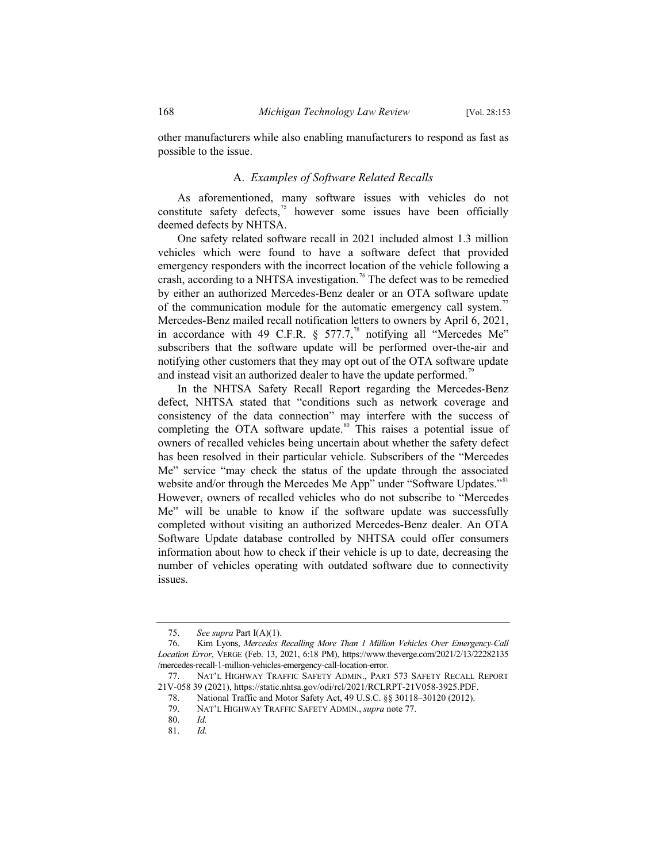other manufacturers while also enabling manufacturers to respond as fast as possible to the issue.

#### A. *Examples of Software Related Recalls*

As aforementioned, many software issues with vehicles do not constitute safety defects, $^{75}$  however some issues have been officially deemed defects by NHTSA.

One safety related software recall in 2021 included almost 1.3 million vehicles which were found to have a software defect that provided emergency responders with the incorrect location of the vehicle following a crash, according to a NHTSA investigation.<sup>76</sup> The defect was to be remedied by either an authorized Mercedes-Benz dealer or an OTA software update of the communication module for the automatic emergency call system.<sup>77</sup> Mercedes-Benz mailed recall notification letters to owners by April 6, 2021, in accordance with 49 C.F.R.  $\S$  577.7,<sup>78</sup> notifying all "Mercedes Me" subscribers that the software update will be performed over-the-air and notifying other customers that they may opt out of the OTA software update and instead visit an authorized dealer to have the update performed.<sup>79</sup>

In the NHTSA Safety Recall Report regarding the Mercedes-Benz defect, NHTSA stated that "conditions such as network coverage and consistency of the data connection" may interfere with the success of completing the OTA software update.<sup>80</sup> This raises a potential issue of owners of recalled vehicles being uncertain about whether the safety defect has been resolved in their particular vehicle. Subscribers of the "Mercedes Me" service "may check the status of the update through the associated website and/or through the Mercedes Me App" under "Software Updates."<sup>81</sup> However, owners of recalled vehicles who do not subscribe to "Mercedes Me" will be unable to know if the software update was successfully completed without visiting an authorized Mercedes-Benz dealer. An OTA Software Update database controlled by NHTSA could offer consumers information about how to check if their vehicle is up to date, decreasing the number of vehicles operating with outdated software due to connectivity issues.

<sup>75.</sup> *See supra* Part I(A)(1).

<sup>76.</sup> Kim Lyons, *Mercedes Recalling More Than 1 Million Vehicles Over Emergency-Call Location Error*, VERGE (Feb. 13, 2021, 6:18 PM), https://www.theverge.com/2021/2/13/22282135 /mercedes-recall-1-million-vehicles-emergency-call-location-error.

<sup>77.</sup> NAT'L HIGHWAY TRAFFIC SAFETY ADMIN., PART 573 SAFETY RECALL REPORT 21V-058 39 (2021), https://static.nhtsa.gov/odi/rcl/2021/RCLRPT-21V058-3925.PDF.

<sup>78.</sup> National Traffic and Motor Safety Act, 49 U.S.C. §§ 30118–30120 (2012).<br>79. NAT'L HIGHWAY TRAFFIC SAFETY ADMIN.. *supra* note 77.

<sup>79.</sup> NAT'L HIGHWAY TRAFFIC SAFETY ADMIN., *supra* note 77.

<sup>80.</sup> *Id.*

<sup>81.</sup> *Id.*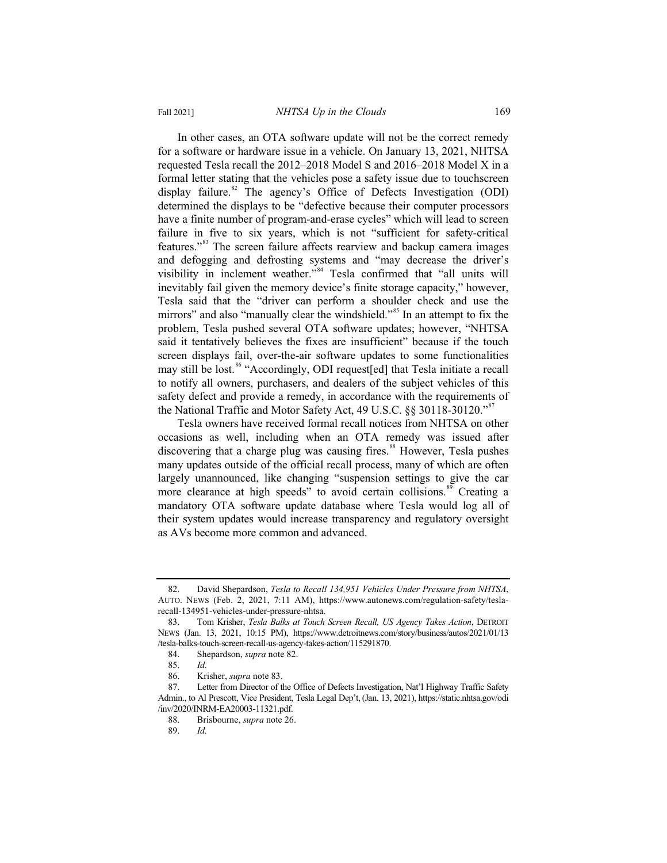In other cases, an OTA software update will not be the correct remedy for a software or hardware issue in a vehicle. On January 13, 2021, NHTSA requested Tesla recall the 2012–2018 Model S and 2016–2018 Model X in a formal letter stating that the vehicles pose a safety issue due to touchscreen display failure.<sup>82</sup> The agency's Office of Defects Investigation (ODI) determined the displays to be "defective because their computer processors have a finite number of program-and-erase cycles" which will lead to screen failure in five to six years, which is not "sufficient for safety-critical features."<sup>83</sup> The screen failure affects rearview and backup camera images and defogging and defrosting systems and "may decrease the driver's visibility in inclement weather."<sup>84</sup> Tesla confirmed that "all units will inevitably fail given the memory device's finite storage capacity," however, Tesla said that the "driver can perform a shoulder check and use the mirrors" and also "manually clear the windshield."<sup>85</sup> In an attempt to fix the problem, Tesla pushed several OTA software updates; however, "NHTSA said it tentatively believes the fixes are insufficient" because if the touch screen displays fail, over-the-air software updates to some functionalities may still be lost.<sup>86</sup> "Accordingly, ODI request[ed] that Tesla initiate a recall to notify all owners, purchasers, and dealers of the subject vehicles of this safety defect and provide a remedy, in accordance with the requirements of the National Traffic and Motor Safety Act, 49 U.S.C. §§ 30118-30120."<sup>87</sup>

Tesla owners have received formal recall notices from NHTSA on other occasions as well, including when an OTA remedy was issued after discovering that a charge plug was causing fires.<sup>88</sup> However, Tesla pushes many updates outside of the official recall process, many of which are often largely unannounced, like changing "suspension settings to give the car more clearance at high speeds" to avoid certain collisions.<sup>89</sup> Creating a mandatory OTA software update database where Tesla would log all of their system updates would increase transparency and regulatory oversight as AVs become more common and advanced.

<sup>82.</sup> David Shepardson, *Tesla to Recall 134,951 Vehicles Under Pressure from NHTSA*, AUTO. NEWS (Feb. 2, 2021, 7:11 AM), https://www.autonews.com/regulation-safety/teslarecall-134951-vehicles-under-pressure-nhtsa.

<sup>83.</sup> Tom Krisher, *Tesla Balks at Touch Screen Recall, US Agency Takes Action*, DETROIT NEWS (Jan. 13, 2021, 10:15 PM), https://www.detroitnews.com/story/business/autos/2021/01/13 /tesla-balks-touch-screen-recall-us-agency-takes-action/115291870.

<sup>84.</sup> Shepardson, *supra* note 82.

<sup>85.</sup> *Id.*

<sup>86.</sup> Krisher, *supra* note 83.

<sup>87.</sup> Letter from Director of the Office of Defects Investigation, Nat'l Highway Traffic Safety Admin., to Al Prescott, Vice President, Tesla Legal Dep't, (Jan. 13, 2021), https://static.nhtsa.gov/odi /inv/2020/INRM-EA20003-11321.pdf.

<sup>88.</sup> Brisbourne, *supra* note 26.

<sup>89.</sup> *Id.*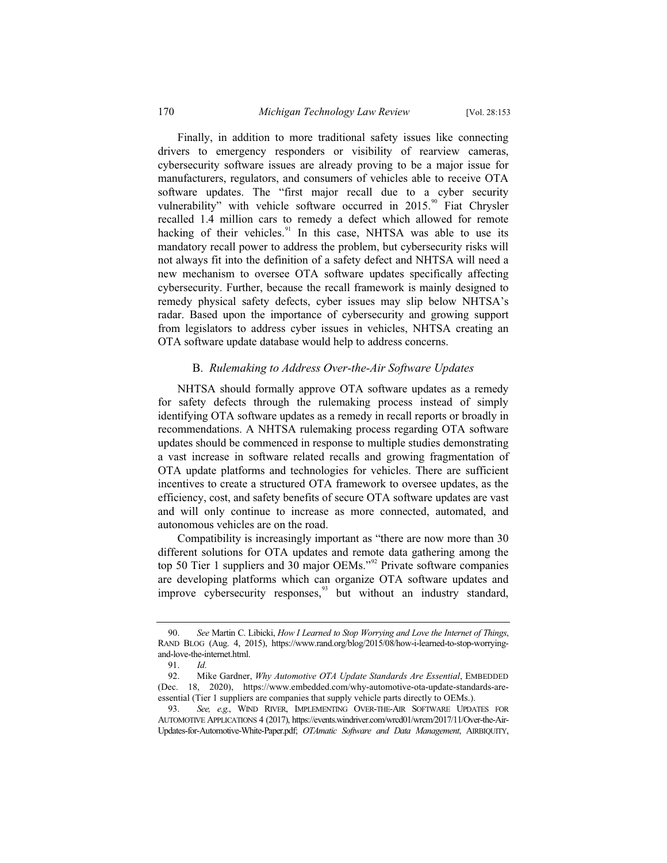Finally, in addition to more traditional safety issues like connecting drivers to emergency responders or visibility of rearview cameras, cybersecurity software issues are already proving to be a major issue for manufacturers, regulators, and consumers of vehicles able to receive OTA software updates. The "first major recall due to a cyber security vulnerability" with vehicle software occurred in  $2015$ .<sup>90</sup> Fiat Chrysler recalled 1.4 million cars to remedy a defect which allowed for remote hacking of their vehicles. $91$  In this case, NHTSA was able to use its mandatory recall power to address the problem, but cybersecurity risks will not always fit into the definition of a safety defect and NHTSA will need a new mechanism to oversee OTA software updates specifically affecting cybersecurity. Further, because the recall framework is mainly designed to remedy physical safety defects, cyber issues may slip below NHTSA's radar. Based upon the importance of cybersecurity and growing support from legislators to address cyber issues in vehicles, NHTSA creating an OTA software update database would help to address concerns.

#### B. *Rulemaking to Address Over-the-Air Software Updates*

NHTSA should formally approve OTA software updates as a remedy for safety defects through the rulemaking process instead of simply identifying OTA software updates as a remedy in recall reports or broadly in recommendations. A NHTSA rulemaking process regarding OTA software updates should be commenced in response to multiple studies demonstrating a vast increase in software related recalls and growing fragmentation of OTA update platforms and technologies for vehicles. There are sufficient incentives to create a structured OTA framework to oversee updates, as the efficiency, cost, and safety benefits of secure OTA software updates are vast and will only continue to increase as more connected, automated, and autonomous vehicles are on the road.

Compatibility is increasingly important as "there are now more than 30 different solutions for OTA updates and remote data gathering among the top 50 Tier 1 suppliers and 30 major OEMs."<sup>92</sup> Private software companies are developing platforms which can organize OTA software updates and improve cybersecurity responses,<sup>93</sup> but without an industry standard,

<sup>90.</sup> *See* Martin C. Libicki, *How I Learned to Stop Worrying and Love the Internet of Things*, RAND BLOG (Aug. 4, 2015), https://www.rand.org/blog/2015/08/how-i-learned-to-stop-worryingand-love-the-internet.html.

<sup>91.</sup> *Id.*

<sup>92.</sup> Mike Gardner, *Why Automotive OTA Update Standards Are Essential*, EMBEDDED (Dec. 18, 2020), https://www.embedded.com/why-automotive-ota-update-standards-areessential (Tier 1 suppliers are companies that supply vehicle parts directly to OEMs.).

<sup>93.</sup> *See, e.g.*, WIND RIVER, IMPLEMENTING OVER-THE-AIR SOFTWARE UPDATES FOR AUTOMOTIVE APPLICATIONS 4 (2017), https://events.windriver.com/wrcd01/wrcm/2017/11/Over-the-Air-Updates-for-Automotive-White-Paper.pdf; *OTAmatic Software and Data Management*, AIRBIQUITY,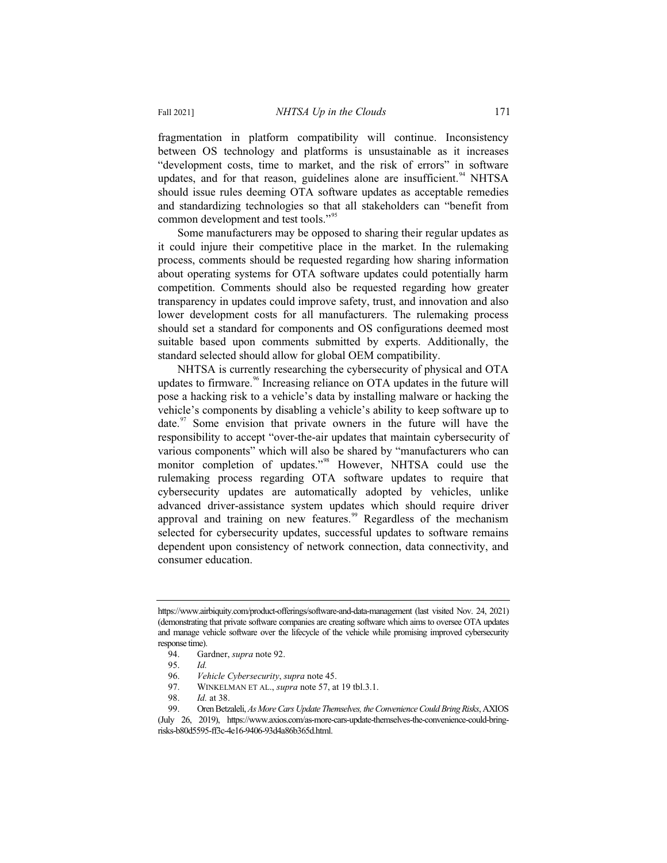fragmentation in platform compatibility will continue. Inconsistency between OS technology and platforms is unsustainable as it increases "development costs, time to market, and the risk of errors" in software updates, and for that reason, guidelines alone are insufficient.  $94$  NHTSA should issue rules deeming OTA software updates as acceptable remedies and standardizing technologies so that all stakeholders can "benefit from common development and test tools."<sup>95</sup>

Some manufacturers may be opposed to sharing their regular updates as it could injure their competitive place in the market. In the rulemaking process, comments should be requested regarding how sharing information about operating systems for OTA software updates could potentially harm competition. Comments should also be requested regarding how greater transparency in updates could improve safety, trust, and innovation and also lower development costs for all manufacturers. The rulemaking process should set a standard for components and OS configurations deemed most suitable based upon comments submitted by experts. Additionally, the standard selected should allow for global OEM compatibility.

NHTSA is currently researching the cybersecurity of physical and OTA updates to firmware.<sup>96</sup> Increasing reliance on OTA updates in the future will pose a hacking risk to a vehicle's data by installing malware or hacking the vehicle's components by disabling a vehicle's ability to keep software up to date. $\frac{97}{10}$  Some envision that private owners in the future will have the responsibility to accept "over-the-air updates that maintain cybersecurity of various components" which will also be shared by "manufacturers who can monitor completion of updates."<sup>98</sup> However, NHTSA could use the rulemaking process regarding OTA software updates to require that cybersecurity updates are automatically adopted by vehicles, unlike advanced driver-assistance system updates which should require driver approval and training on new features.<sup>99</sup> Regardless of the mechanism selected for cybersecurity updates, successful updates to software remains dependent upon consistency of network connection, data connectivity, and consumer education.

97. WINKELMAN ET AL., *supra* note 57, at 19 tbl.3.1.

https://www.airbiquity.com/product-offerings/software-and-data-management (last visited Nov. 24, 2021) (demonstrating that private software companies are creating software which aims to oversee OTA updates and manage vehicle software over the lifecycle of the vehicle while promising improved cybersecurity response time).

<sup>94.</sup> Gardner, *supra* note 92.

<sup>95.</sup> *Id.*

<sup>96.</sup> *Vehicle Cybersecurity*, *supra* note 45.

<sup>98.</sup> *Id.* at 38.

<sup>99.</sup> Oren Betzaleli, *As More Cars Update Themselves, the Convenience Could Bring Risks*, AXIOS

<sup>(</sup>July 26, 2019), https://www.axios.com/as-more-cars-update-themselves-the-convenience-could-bringrisks-b80d5595-ff3c-4e16-9406-93d4a86b365d.html.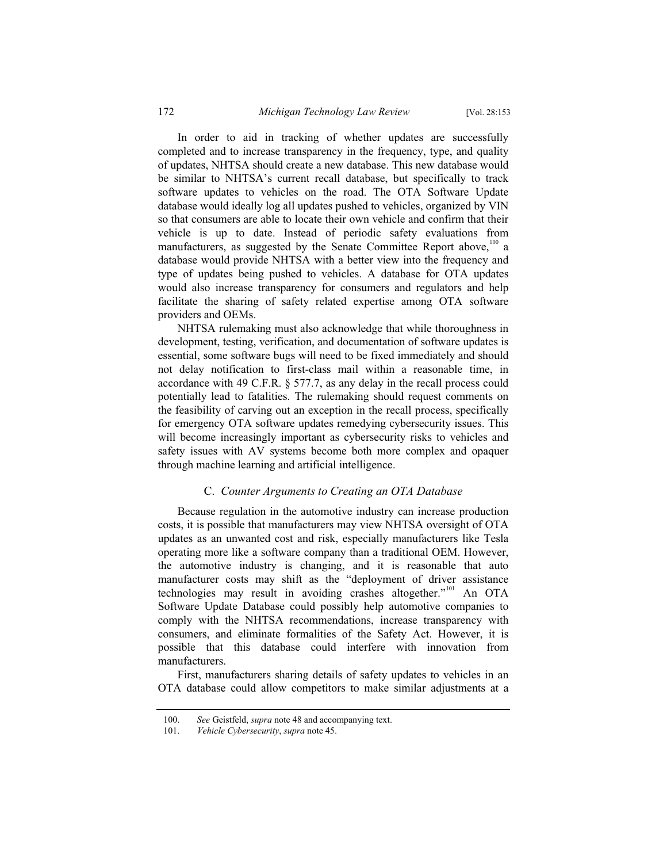In order to aid in tracking of whether updates are successfully completed and to increase transparency in the frequency, type, and quality of updates, NHTSA should create a new database. This new database would be similar to NHTSA's current recall database, but specifically to track software updates to vehicles on the road. The OTA Software Update database would ideally log all updates pushed to vehicles, organized by VIN so that consumers are able to locate their own vehicle and confirm that their vehicle is up to date. Instead of periodic safety evaluations from manufacturers, as suggested by the Senate Committee Report above,<sup>100</sup> a database would provide NHTSA with a better view into the frequency and type of updates being pushed to vehicles. A database for OTA updates would also increase transparency for consumers and regulators and help facilitate the sharing of safety related expertise among OTA software providers and OEMs.

NHTSA rulemaking must also acknowledge that while thoroughness in development, testing, verification, and documentation of software updates is essential, some software bugs will need to be fixed immediately and should not delay notification to first-class mail within a reasonable time, in accordance with 49 C.F.R. § 577.7, as any delay in the recall process could potentially lead to fatalities. The rulemaking should request comments on the feasibility of carving out an exception in the recall process, specifically for emergency OTA software updates remedying cybersecurity issues. This will become increasingly important as cybersecurity risks to vehicles and safety issues with AV systems become both more complex and opaquer through machine learning and artificial intelligence.

#### C. *Counter Arguments to Creating an OTA Database*

Because regulation in the automotive industry can increase production costs, it is possible that manufacturers may view NHTSA oversight of OTA updates as an unwanted cost and risk, especially manufacturers like Tesla operating more like a software company than a traditional OEM. However, the automotive industry is changing, and it is reasonable that auto manufacturer costs may shift as the "deployment of driver assistance technologies may result in avoiding crashes altogether."<sup>101</sup> An OTA Software Update Database could possibly help automotive companies to comply with the NHTSA recommendations, increase transparency with consumers, and eliminate formalities of the Safety Act. However, it is possible that this database could interfere with innovation from manufacturers.

First, manufacturers sharing details of safety updates to vehicles in an OTA database could allow competitors to make similar adjustments at a

<sup>100.</sup> *See* Geistfeld, *supra* note 48 and accompanying text.

<sup>101.</sup> *Vehicle Cybersecurity*, *supra* note 45.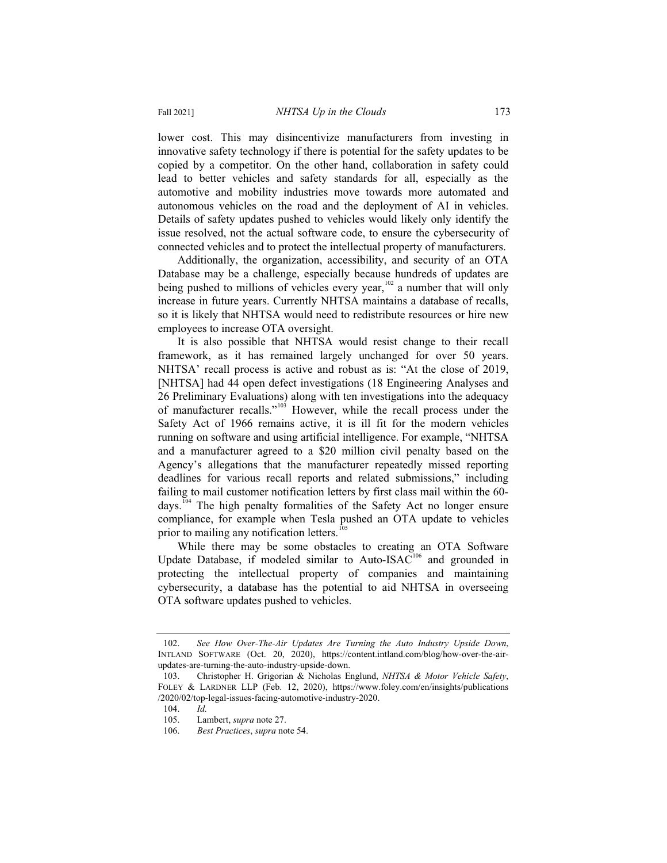lower cost. This may disincentivize manufacturers from investing in innovative safety technology if there is potential for the safety updates to be copied by a competitor. On the other hand, collaboration in safety could lead to better vehicles and safety standards for all, especially as the automotive and mobility industries move towards more automated and autonomous vehicles on the road and the deployment of AI in vehicles. Details of safety updates pushed to vehicles would likely only identify the issue resolved, not the actual software code, to ensure the cybersecurity of connected vehicles and to protect the intellectual property of manufacturers.

Additionally, the organization, accessibility, and security of an OTA Database may be a challenge, especially because hundreds of updates are being pushed to millions of vehicles every year,<sup>102</sup> a number that will only increase in future years. Currently NHTSA maintains a database of recalls, so it is likely that NHTSA would need to redistribute resources or hire new employees to increase OTA oversight.

It is also possible that NHTSA would resist change to their recall framework, as it has remained largely unchanged for over 50 years. NHTSA' recall process is active and robust as is: "At the close of 2019, [NHTSA] had 44 open defect investigations (18 Engineering Analyses and 26 Preliminary Evaluations) along with ten investigations into the adequacy of manufacturer recalls."<sup>103</sup> However, while the recall process under the Safety Act of 1966 remains active, it is ill fit for the modern vehicles running on software and using artificial intelligence. For example, "NHTSA and a manufacturer agreed to a \$20 million civil penalty based on the Agency's allegations that the manufacturer repeatedly missed reporting deadlines for various recall reports and related submissions," including failing to mail customer notification letters by first class mail within the 60 days.<sup>104</sup> The high penalty formalities of the Safety Act no longer ensure compliance, for example when Tesla pushed an OTA update to vehicles prior to mailing any notification letters.<sup>105</sup>

While there may be some obstacles to creating an OTA Software Update Database, if modeled similar to Auto-ISAC $106$  and grounded in protecting the intellectual property of companies and maintaining cybersecurity, a database has the potential to aid NHTSA in overseeing OTA software updates pushed to vehicles.

<sup>102.</sup> *See How Over-The-Air Updates Are Turning the Auto Industry Upside Down*, INTLAND SOFTWARE (Oct. 20, 2020), https://content.intland.com/blog/how-over-the-airupdates-are-turning-the-auto-industry-upside-down.

<sup>103.</sup> Christopher H. Grigorian & Nicholas Englund, *NHTSA & Motor Vehicle Safety*, FOLEY & LARDNER LLP (Feb. 12, 2020), https://www.foley.com/en/insights/publications /2020/02/top-legal-issues-facing-automotive-industry-2020.

<sup>104.</sup> *Id.*

Lambert, *supra* note 27.

<sup>106.</sup> *Best Practices*, *supra* note 54.